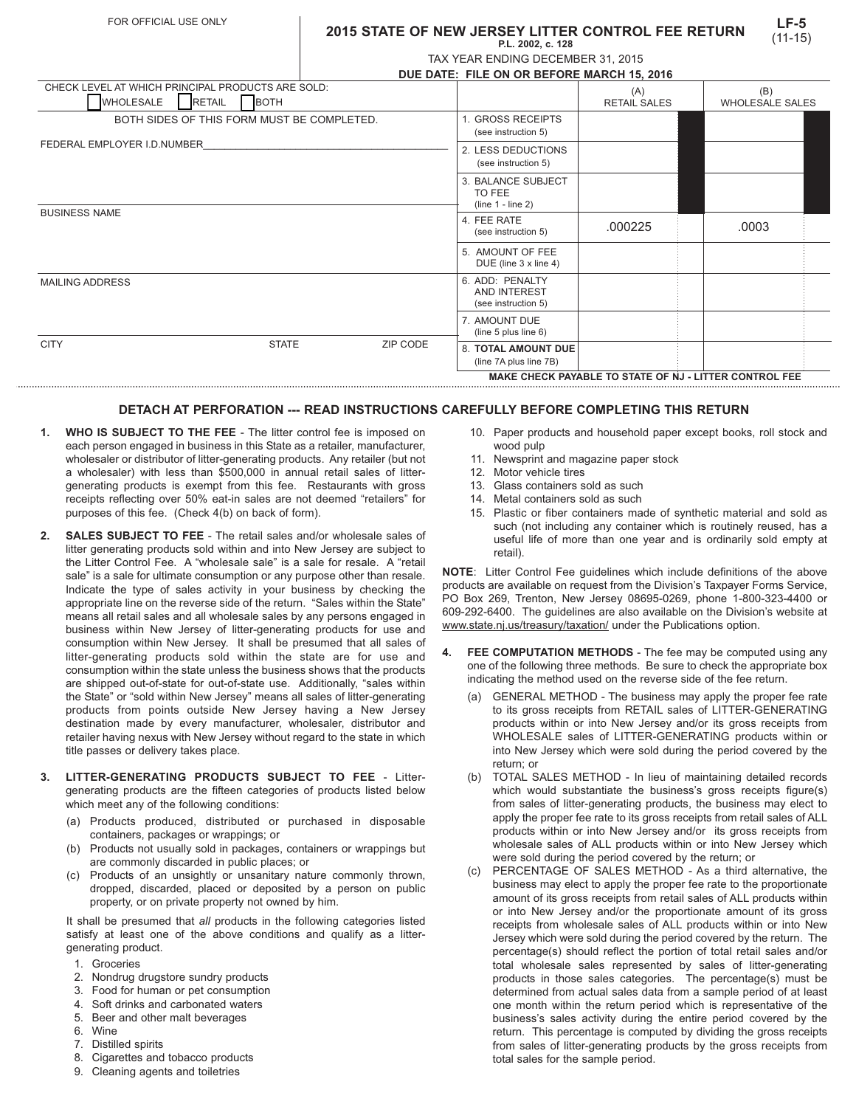#### **2015 STATE OF NEW JERSEY LITTER CONTROL FEE RETURN P.L. 2002, c. 128**

|  | TAX YEAR ENDING DECEMBER 31, 2015 |  |
|--|-----------------------------------|--|

|                                                                           |               |              | DUE DATE: FILE ON OR BEFORE MARCH 15, 2016 |                                                        |                     |                        |  |
|---------------------------------------------------------------------------|---------------|--------------|--------------------------------------------|--------------------------------------------------------|---------------------|------------------------|--|
| CHECK LEVEL AT WHICH PRINCIPAL PRODUCTS ARE SOLD:                         |               |              |                                            |                                                        | (A)                 | (B)                    |  |
| <b>WHOLESALE</b>                                                          | <b>RETAIL</b> | <b>BOTH</b>  |                                            |                                                        | <b>RETAIL SALES</b> | <b>WHOLESALE SALES</b> |  |
| BOTH SIDES OF THIS FORM MUST BE COMPLETED.<br>FEDERAL EMPLOYER I.D.NUMBER |               |              |                                            | 1. GROSS RECEIPTS<br>(see instruction 5)               |                     |                        |  |
|                                                                           |               |              | 2. LESS DEDUCTIONS<br>(see instruction 5)  |                                                        |                     |                        |  |
|                                                                           |               |              |                                            | 3. BALANCE SUBJECT<br>TO FEE<br>$(line 1 - line 2)$    |                     |                        |  |
| <b>BUSINESS NAME</b>                                                      |               |              |                                            | 4. FEE RATE<br>(see instruction 5)                     | .000225             | .0003                  |  |
|                                                                           |               |              |                                            | 5. AMOUNT OF FEE<br>DUE (line 3 x line 4)              |                     |                        |  |
| <b>MAILING ADDRESS</b>                                                    |               |              |                                            | 6. ADD: PENALTY<br>AND INTEREST<br>(see instruction 5) |                     |                        |  |
|                                                                           |               |              |                                            | 7. AMOUNT DUE<br>(line $5$ plus line $6$ )             |                     |                        |  |
| <b>CITY</b>                                                               |               | <b>STATE</b> | ZIP CODE                                   | <b>8. TOTAL AMOUNT DUE</b><br>(line 7A plus line 7B)   |                     |                        |  |

#### **MAKE CHECK PAYABLE TO STATE OF NJ - LITTER CONTROL FEE**

## **DETACH AT PERFORATION --- READ INSTRUCTIONS CAREFULLY BEFORE COMPLETING THIS RETURN**

- **1. WHO IS SUBJECT TO THE FEE** The litter control fee is imposed on each person engaged in business in this State as a retailer, manufacturer, wholesaler or distributor of litter-generating products. Any retailer (but not a wholesaler) with less than \$500,000 in annual retail sales of littergenerating products is exempt from this fee. Restaurants with gross receipts reflecting over 50% eat-in sales are not deemed "retailers" for purposes of this fee. (Check 4(b) on back of form).
- **2. SALES SUBJECT TO FEE**  The retail sales and/or wholesale sales of litter generating products sold within and into New Jersey are subject to the Litter Control Fee. A "wholesale sale" is a sale for resale. A "retail sale" is a sale for ultimate consumption or any purpose other than resale. Indicate the type of sales activity in your business by checking the appropriate line on the reverse side of the return. "Sales within the State" means all retail sales and all wholesale sales by any persons engaged in business within New Jersey of litter-generating products for use and consumption within New Jersey. It shall be presumed that all sales of litter-generating products sold within the state are for use and consumption within the state unless the business shows that the products are shipped out-of-state for out-of-state use. Additionally, "sales within the State" or "sold within New Jersey" means all sales of litter-generating products from points outside New Jersey having a New Jersey destination made by every manufacturer, wholesaler, distributor and retailer having nexus with New Jersey without regard to the state in which title passes or delivery takes place.
- **3. LITTER-GENERATING PRODUCTS SUBJECT TO FEE** Littergenerating products are the fifteen categories of products listed below which meet any of the following conditions:
	- (a) Products produced, distributed or purchased in disposable containers, packages or wrappings; or
	- (b) Products not usually sold in packages, containers or wrappings but are commonly discarded in public places; or
	- (c) Products of an unsightly or unsanitary nature commonly thrown, dropped, discarded, placed or deposited by a person on public property, or on private property not owned by him.

It shall be presumed that *all* products in the following categories listed satisfy at least one of the above conditions and qualify as a littergenerating product.

- 1. Groceries
- 2. Nondrug drugstore sundry products
- 3. Food for human or pet consumption
- 4. Soft drinks and carbonated waters
- 5. Beer and other malt beverages
- 6. Wine
- 7. Distilled spirits
- 8. Cigarettes and tobacco products
- 9. Cleaning agents and toiletries
- 10. Paper products and household paper except books, roll stock and wood pulp
- 11. Newsprint and magazine paper stock
- 12. Motor vehicle tires
- 13. Glass containers sold as such
- 14. Metal containers sold as such
- 15. Plastic or fiber containers made of synthetic material and sold as such (not including any container which is routinely reused, has a useful life of more than one year and is ordinarily sold empty at retail).

**NOTE**: Litter Control Fee guidelines which include definitions of the above products are available on request from the Division's Taxpayer Forms Service, PO Box 269, Trenton, New Jersey 08695-0269, phone 1-800-323-4400 or 609-292-6400. The guidelines are also available on the Division's website at www.state.nj.us/treasury/taxation/ under the Publications option.

- **4. FEE COMPUTATION METHODS** The fee may be computed using any one of the following three methods. Be sure to check the appropriate box indicating the method used on the reverse side of the fee return.
	- (a) GENERAL METHOD The business may apply the proper fee rate to its gross receipts from RETAIL sales of LITTER-GENERATING products within or into New Jersey and/or its gross receipts from WHOLESALE sales of LITTER-GENERATING products within or into New Jersey which were sold during the period covered by the return; or
	- (b) TOTAL SALES METHOD In lieu of maintaining detailed records which would substantiate the business's gross receipts figure(s) from sales of litter-generating products, the business may elect to apply the proper fee rate to its gross receipts from retail sales of ALL products within or into New Jersey and/or its gross receipts from wholesale sales of ALL products within or into New Jersey which were sold during the period covered by the return; or
	- (c) PERCENTAGE OF SALES METHOD As a third alternative, the business may elect to apply the proper fee rate to the proportionate amount of its gross receipts from retail sales of ALL products within or into New Jersey and/or the proportionate amount of its gross receipts from wholesale sales of ALL products within or into New Jersey which were sold during the period covered by the return. The percentage(s) should reflect the portion of total retail sales and/or total wholesale sales represented by sales of litter-generating products in those sales categories. The percentage(s) must be determined from actual sales data from a sample period of at least one month within the return period which is representative of the business's sales activity during the entire period covered by the return. This percentage is computed by dividing the gross receipts from sales of litter-generating products by the gross receipts from total sales for the sample period.

**LF-5** (11-15)